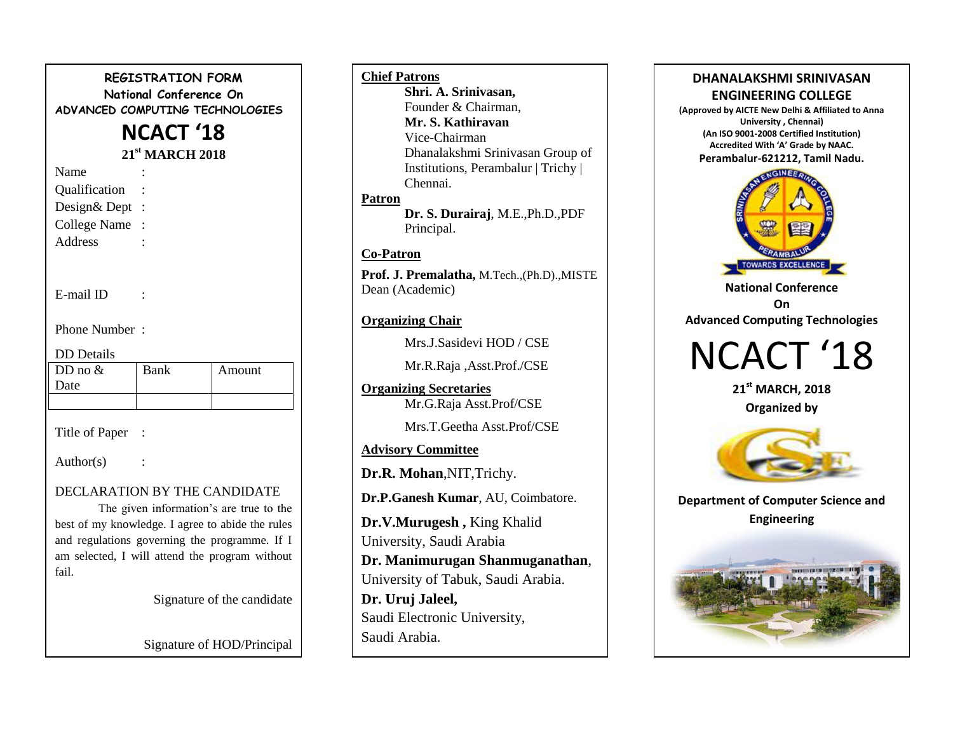# **REGISTRATION FORM National Conference On ADVANCED COMPUTING TECHNOLOGIES NCACT '18 21st MARCH 2018** Name Qualification : Design& Dept : College Name : Address : E-mail ID : Phone Number : DD Details

| DD Details |      |        |
|------------|------|--------|
| DD no $&$  | Bank | Amount |
| Date       |      |        |
|            |      |        |

Title of Paper :

Author(s)

# DECLARATION BY THE CANDIDATE

The given information's are true to the best of my knowledge. I agree to abide the rules and regulations governing the programme. If I am selected, I will attend the program without fail.

Signature of the candidate

Signature of HOD/Principal

#### **Chief Patrons**

**Shri. A. Srinivasan,** Founder & Chairman, **Mr. S. Kathiravan** Vice-Chairman Dhanalakshmi Srinivasan Group of Institutions, Perambalur | Trichy | Chennai. **Patron**

> **Dr. S. Durairaj**, M.E.,Ph.D.,PDF Principal.

# **Co-Patron**

**Prof. J. Premalatha,** M.Tech.,(Ph.D).,MISTE Dean (Academic)

# **Organizing Chair**

Mrs.J.Sasidevi HOD / CSE

Mr.R.Raja ,Asst.Prof./CSE

**Organizing Secretaries** Mr.G.Raja Asst.Prof/CSE

Mrs.T.Geetha Asst.Prof/CSE

**Advisory Committee**

**Dr.R. Mohan**,NIT,Trichy.

**Dr.P.Ganesh Kumar**, AU, Coimbatore.

**Dr.V.Murugesh ,** King Khalid University, Saudi Arabia **Dr. Manimurugan Shanmuganathan**, University of Tabuk, Saudi Arabia. **Dr. Uruj Jaleel,** Saudi Electronic University, Saudi Arabia.

# **DHANALAKSHMI SRINIVASAN ENGINEERING COLLEGE**

**(Approved by AICTE New Delhi & Affiliated to Anna University , Chennai) (An ISO 9001-2008 Certified Institution) Accredited With 'A' Grade by NAAC. Perambalur-621212, Tamil Nadu.**



**National Conference On Advanced Computing Technologies**

# NCACT '18

**21st MARCH, 2018 Organized by** 



**Department of Computer Science and Engineering**